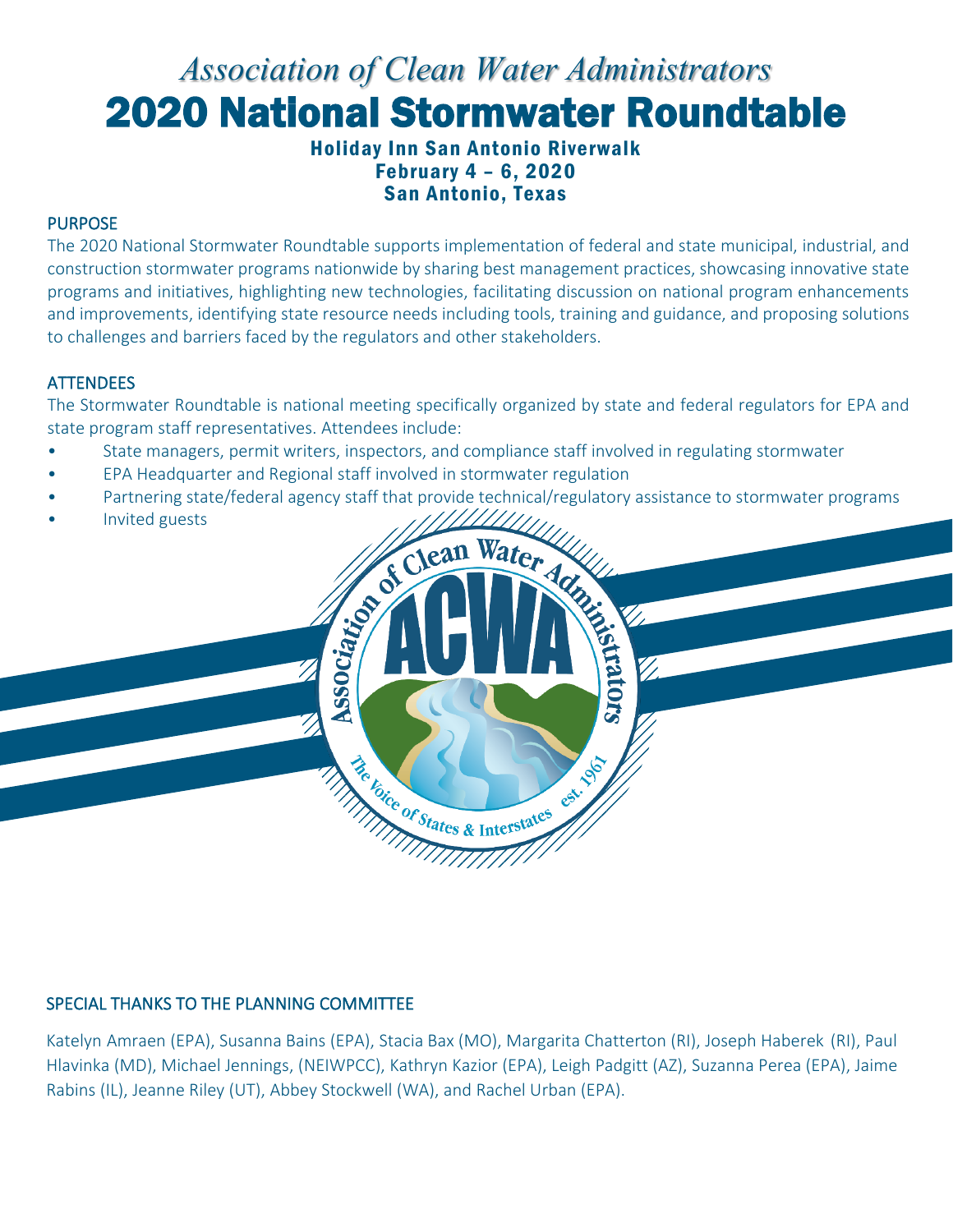# *Association of Clean Water Administrators* 2020 National Stormwater Roundtable

Holiday Inn San Antonio Riverwalk February 4 – 6, 2020 San Antonio, Texas

#### PURPOSE

The 2020 National Stormwater Roundtable supports implementation of federal and state municipal, industrial, and construction stormwater programs nationwide by sharing best management practices, showcasing innovative state programs and initiatives, highlighting new technologies, facilitating discussion on national program enhancements and improvements, identifying state resource needs including tools, training and guidance, and proposing solutions to challenges and barriers faced by the regulators and other stakeholders.

#### **ATTENDEES**

The Stormwater Roundtable is national meeting specifically organized by state and federal regulators for EPA and state program staff representatives. Attendees include:

- State managers, permit writers, inspectors, and compliance staff involved in regulating stormwater
- EPA Headquarter and Regional staff involved in stormwater regulation
- Partnering state/federal agency staff that provide technical/regulatory assistance to stormwater programs

Societan Water Advised

Cat. 1967

He Foice of States & Interstates

• Invited guests

#### SPECIAL THANKS TO THE PLANNING COMMITTEE

Katelyn Amraen (EPA), Susanna Bains (EPA), Stacia Bax (MO), Margarita Chatterton (RI), Joseph Haberek (RI), Paul Hlavinka (MD), Michael Jennings, (NEIWPCC), Kathryn Kazior (EPA), Leigh Padgitt (AZ), Suzanna Perea (EPA), Jaime Rabins (IL), Jeanne Riley (UT), Abbey Stockwell (WA), and Rachel Urban (EPA).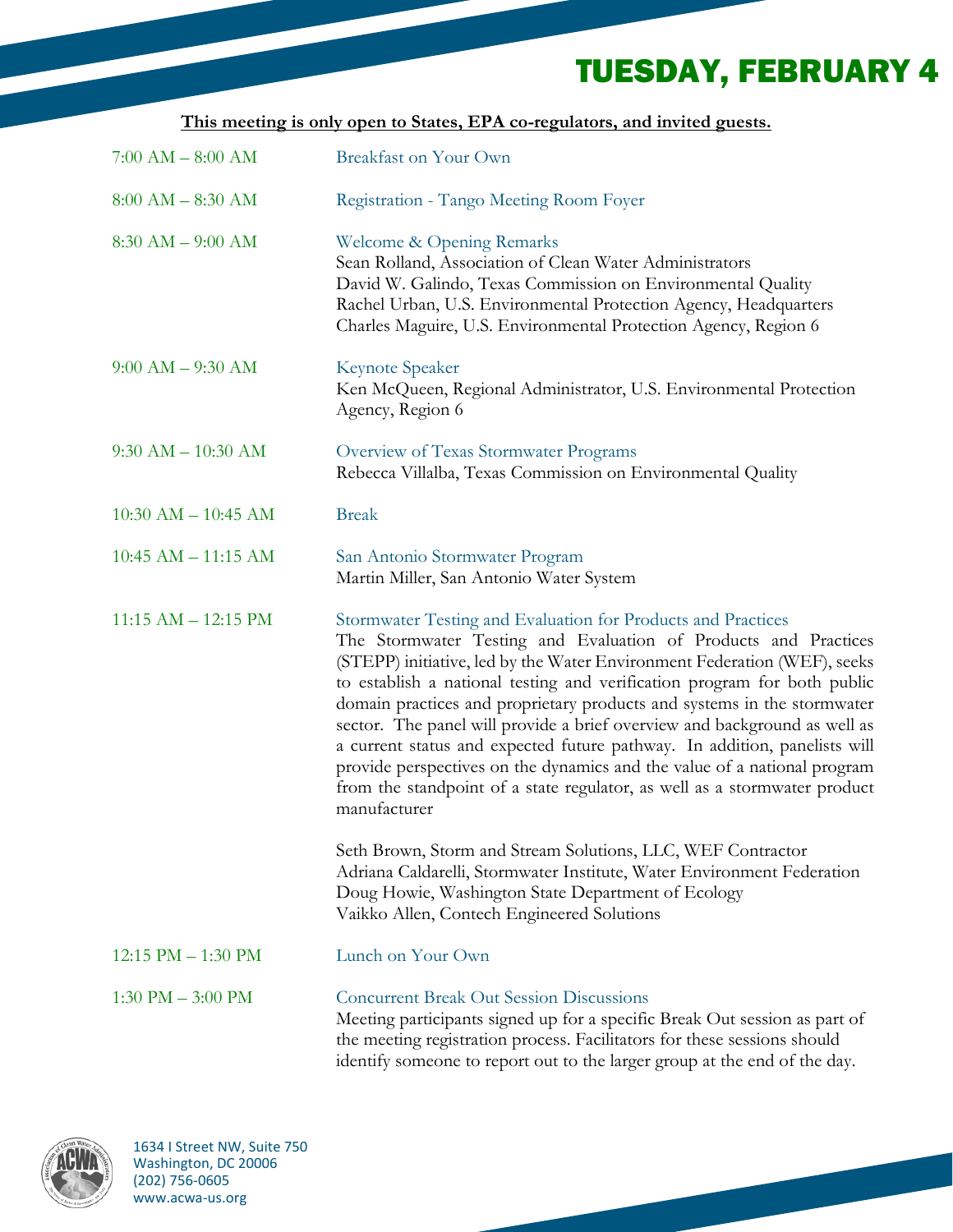## TUESDAY, FEBRUARY 4

| This meeting is only open to States, EPA co-regulators, and invited guests. |  |  |  |  |  |  |
|-----------------------------------------------------------------------------|--|--|--|--|--|--|
|                                                                             |  |  |  |  |  |  |

| $7:00 AM - 8:00 AM$     | <b>Breakfast on Your Own</b>                                                                                                                                                                                                                                                                                                                                                                                                                                                                                                                                                                                                                                                                          |
|-------------------------|-------------------------------------------------------------------------------------------------------------------------------------------------------------------------------------------------------------------------------------------------------------------------------------------------------------------------------------------------------------------------------------------------------------------------------------------------------------------------------------------------------------------------------------------------------------------------------------------------------------------------------------------------------------------------------------------------------|
| $8:00 AM - 8:30 AM$     | Registration - Tango Meeting Room Foyer                                                                                                                                                                                                                                                                                                                                                                                                                                                                                                                                                                                                                                                               |
| $8:30 AM - 9:00 AM$     | Welcome & Opening Remarks<br>Sean Rolland, Association of Clean Water Administrators<br>David W. Galindo, Texas Commission on Environmental Quality<br>Rachel Urban, U.S. Environmental Protection Agency, Headquarters<br>Charles Maguire, U.S. Environmental Protection Agency, Region 6                                                                                                                                                                                                                                                                                                                                                                                                            |
| $9:00 AM - 9:30 AM$     | <b>Keynote Speaker</b><br>Ken McQueen, Regional Administrator, U.S. Environmental Protection<br>Agency, Region 6                                                                                                                                                                                                                                                                                                                                                                                                                                                                                                                                                                                      |
| $9:30$ AM $- 10:30$ AM  | Overview of Texas Stormwater Programs<br>Rebecca Villalba, Texas Commission on Environmental Quality                                                                                                                                                                                                                                                                                                                                                                                                                                                                                                                                                                                                  |
| $10:30$ AM $- 10:45$ AM | <b>Break</b>                                                                                                                                                                                                                                                                                                                                                                                                                                                                                                                                                                                                                                                                                          |
| $10:45$ AM $- 11:15$ AM | San Antonio Stormwater Program<br>Martin Miller, San Antonio Water System                                                                                                                                                                                                                                                                                                                                                                                                                                                                                                                                                                                                                             |
| $11:15$ AM $- 12:15$ PM | Stormwater Testing and Evaluation for Products and Practices<br>The Stormwater Testing and Evaluation of Products and Practices<br>(STEPP) initiative, led by the Water Environment Federation (WEF), seeks<br>to establish a national testing and verification program for both public<br>domain practices and proprietary products and systems in the stormwater<br>sector. The panel will provide a brief overview and background as well as<br>a current status and expected future pathway. In addition, panelists will<br>provide perspectives on the dynamics and the value of a national program<br>from the standpoint of a state regulator, as well as a stormwater product<br>manufacturer |
|                         | Seth Brown, Storm and Stream Solutions, LLC, WEF Contractor<br>Adriana Caldarelli, Stormwater Institute, Water Environment Federation<br>Doug Howie, Washington State Department of Ecology<br>Vaikko Allen, Contech Engineered Solutions                                                                                                                                                                                                                                                                                                                                                                                                                                                             |
| 12:15 PM - 1:30 PM      | Lunch on Your Own                                                                                                                                                                                                                                                                                                                                                                                                                                                                                                                                                                                                                                                                                     |
| $1:30$ PM $- 3:00$ PM   | <b>Concurrent Break Out Session Discussions</b><br>Meeting participants signed up for a specific Break Out session as part of<br>the meeting registration process. Facilitators for these sessions should<br>identify someone to report out to the larger group at the end of the day.                                                                                                                                                                                                                                                                                                                                                                                                                |

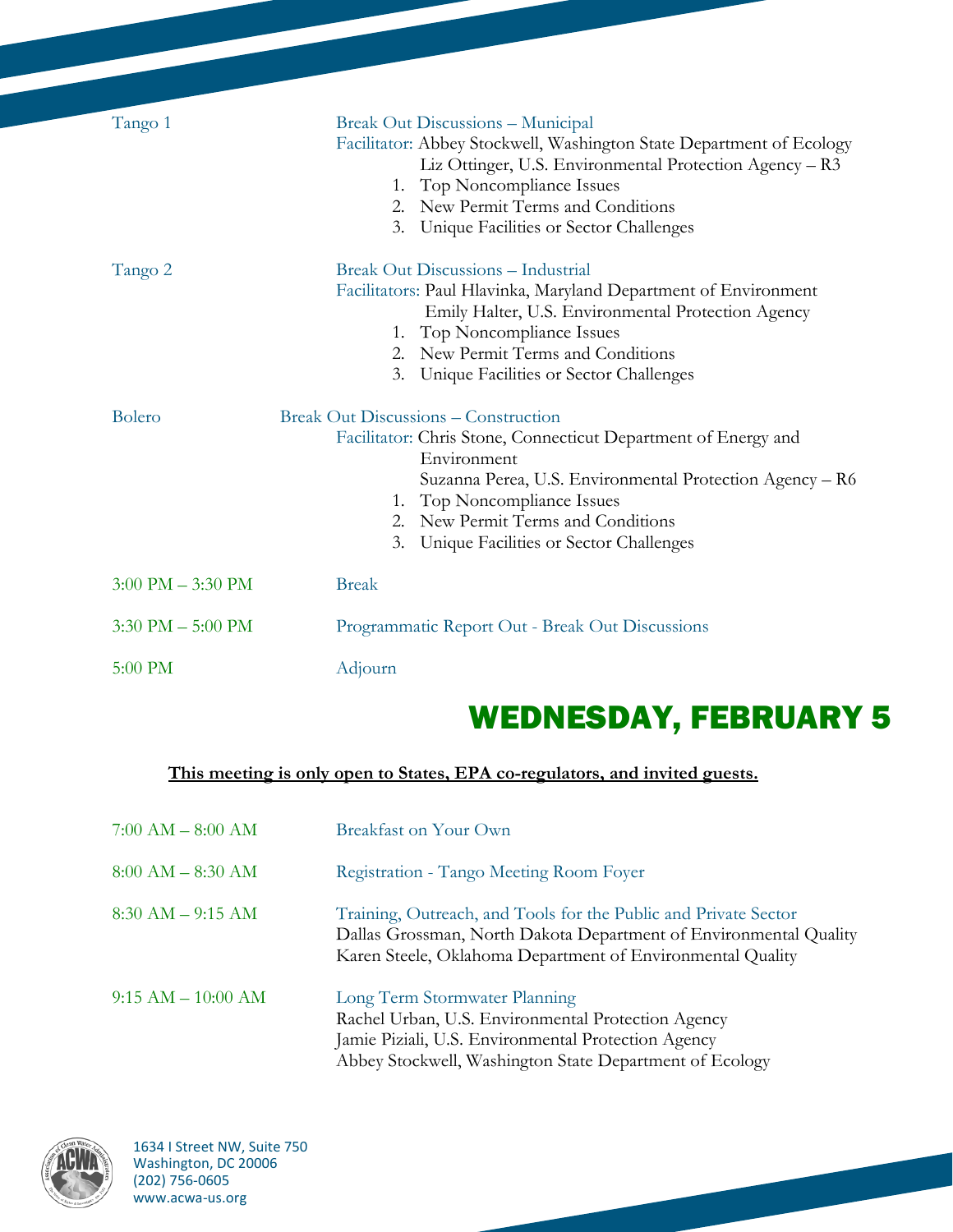| Tango 1                             | <b>Break Out Discussions - Municipal</b><br>Facilitator: Abbey Stockwell, Washington State Department of Ecology<br>Liz Ottinger, U.S. Environmental Protection Agency - R3<br>1. Top Noncompliance Issues<br>2. New Permit Terms and Conditions<br>Unique Facilities or Sector Challenges<br>3.              |
|-------------------------------------|---------------------------------------------------------------------------------------------------------------------------------------------------------------------------------------------------------------------------------------------------------------------------------------------------------------|
| Tango 2                             | <b>Break Out Discussions - Industrial</b><br>Facilitators: Paul Hlavinka, Maryland Department of Environment<br>Emily Halter, U.S. Environmental Protection Agency<br>Top Noncompliance Issues<br>1.<br>2. New Permit Terms and Conditions<br>Unique Facilities or Sector Challenges<br>3.                    |
| <b>Bolero</b>                       | <b>Break Out Discussions – Construction</b><br>Facilitator: Chris Stone, Connecticut Department of Energy and<br>Environment<br>Suzanna Perea, U.S. Environmental Protection Agency - R6<br>1. Top Noncompliance Issues<br>2. New Permit Terms and Conditions<br>Unique Facilities or Sector Challenges<br>3. |
| $3:00 \text{ PM} - 3:30 \text{ PM}$ | <b>Break</b>                                                                                                                                                                                                                                                                                                  |
| $3:30$ PM $- 5:00$ PM               | Programmatic Report Out - Break Out Discussions                                                                                                                                                                                                                                                               |
| 5:00 PM                             | Adjourn                                                                                                                                                                                                                                                                                                       |

## WEDNESDAY, FEBRUARY 5

### **This meeting is only open to States, EPA co-regulators, and invited guests.**

| $7:00$ AM $-$ 8:00 AM | <b>Breakfast on Your Own</b>                                                                                                                                                                          |
|-----------------------|-------------------------------------------------------------------------------------------------------------------------------------------------------------------------------------------------------|
| $8:00$ AM $-$ 8:30 AM | Registration - Tango Meeting Room Foyer                                                                                                                                                               |
| $8:30$ AM $-$ 9:15 AM | Training, Outreach, and Tools for the Public and Private Sector<br>Dallas Grossman, North Dakota Department of Environmental Quality<br>Karen Steele, Oklahoma Department of Environmental Quality    |
| $9:15 AM - 10:00 AM$  | Long Term Stormwater Planning<br>Rachel Urban, U.S. Environmental Protection Agency<br>Jamie Piziali, U.S. Environmental Protection Agency<br>Abbey Stockwell, Washington State Department of Ecology |

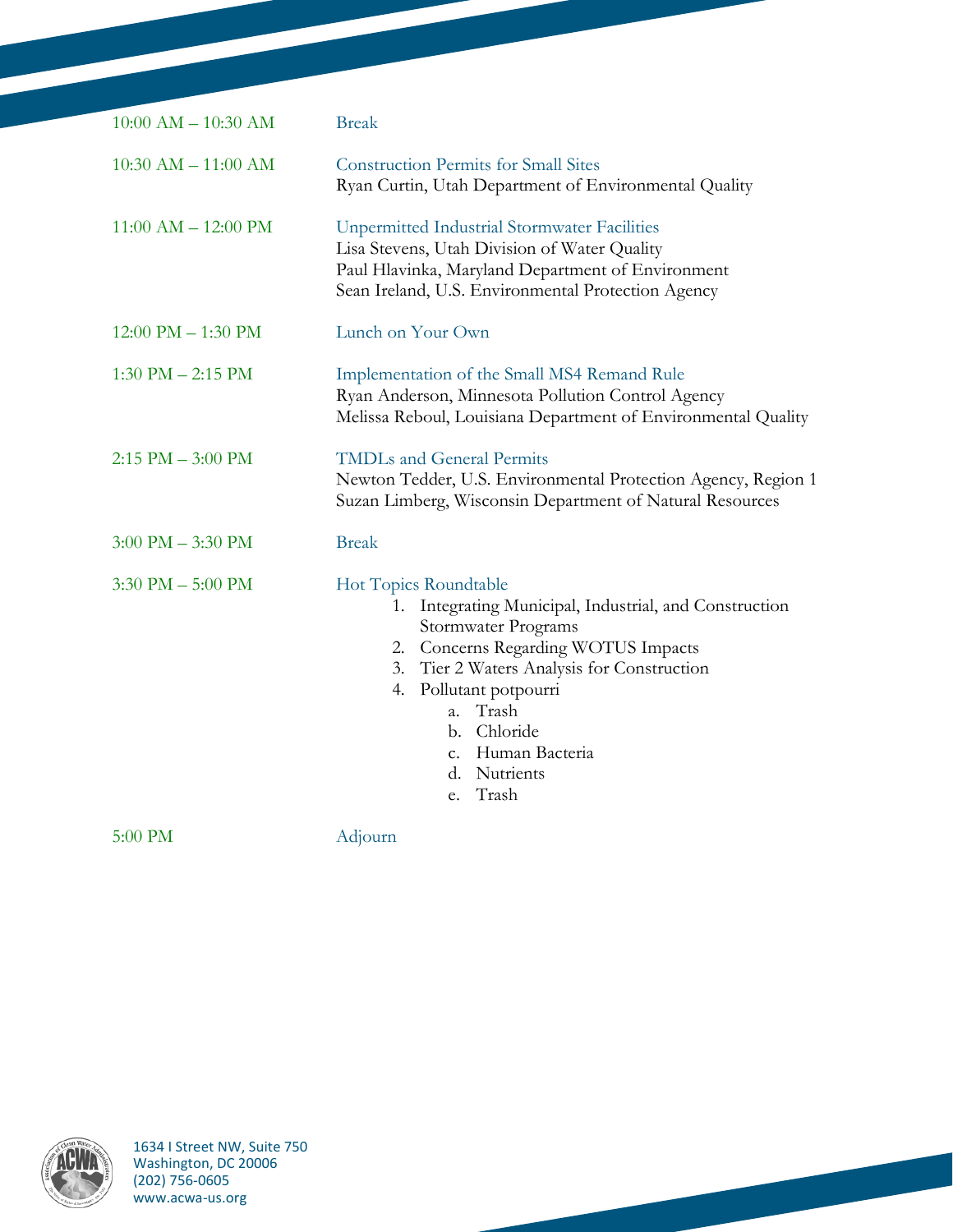| $10:00$ AM $- 10:30$ AM              | <b>Break</b>                                                                                                                                                                                                                                                                                         |
|--------------------------------------|------------------------------------------------------------------------------------------------------------------------------------------------------------------------------------------------------------------------------------------------------------------------------------------------------|
| $10:30$ AM $- 11:00$ AM              | <b>Construction Permits for Small Sites</b><br>Ryan Curtin, Utah Department of Environmental Quality                                                                                                                                                                                                 |
| $11:00$ AM $- 12:00$ PM              | <b>Unpermitted Industrial Stormwater Facilities</b><br>Lisa Stevens, Utah Division of Water Quality<br>Paul Hlavinka, Maryland Department of Environment<br>Sean Ireland, U.S. Environmental Protection Agency                                                                                       |
| $12:00 \text{ PM} - 1:30 \text{ PM}$ | Lunch on Your Own                                                                                                                                                                                                                                                                                    |
| $1:30$ PM $- 2:15$ PM                | Implementation of the Small MS4 Remand Rule<br>Ryan Anderson, Minnesota Pollution Control Agency<br>Melissa Reboul, Louisiana Department of Environmental Quality                                                                                                                                    |
| $2:15$ PM $-3:00$ PM                 | <b>TMDLs and General Permits</b><br>Newton Tedder, U.S. Environmental Protection Agency, Region 1<br>Suzan Limberg, Wisconsin Department of Natural Resources                                                                                                                                        |
| $3:00 \text{ PM} - 3:30 \text{ PM}$  | <b>Break</b>                                                                                                                                                                                                                                                                                         |
| $3:30$ PM $- 5:00$ PM                | Hot Topics Roundtable<br>1. Integrating Municipal, Industrial, and Construction<br>Stormwater Programs<br>2. Concerns Regarding WOTUS Impacts<br>3. Tier 2 Waters Analysis for Construction<br>4. Pollutant potpourri<br>a. Trash<br>b. Chloride<br>c. Human Bacteria<br>d. Nutrients<br>Trash<br>e. |

5:00 PM Adjourn